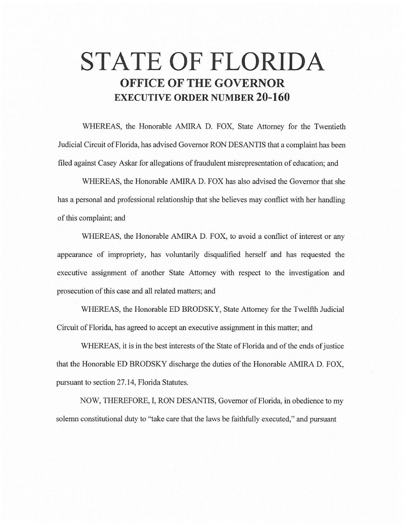# **STATE OF FLORIDA OFFICE OF THE GOVERNOR EXECUTIVE ORDER NUMBER 20-160**

WHEREAS, the Honorable AMIRA D. FOX, State Attorney for the Twentieth Judicial Circuit of Florida, has advised Governor RON DESANTIS that a complaint has been filed against Casey Askar for allegations of fraudulent misrepresentation of education; and

WHEREAS, the Honorable AMIRA D. FOX has also advised the Governor that she has a personal and professional relationship that she believes may conflict with her handling of this complaint; and

WHEREAS, the Honorable AMIRA D. FOX, to avoid a conflict of interest or any appearance of impropriety, has voluntarily disqualified herself and has requested the executive assignment of another State Attorney with respect to the investigation and prosecution of this case and all related matters; and

WHEREAS, the Honorable ED BRODSKY, State Attorney for the Twelfth Judicial Circuit of Florida, has agreed to accept an executive assignment in this matter; and

WHEREAS, it is in the best interests of the State of Florida and of the ends of justice that the Honorable ED BRODSKY discharge the duties of the Honorable AMIRA D. FOX, pursuant to section 27.14, Florida Statutes.

NOW, THEREFORE, I, RON DESANTIS, Governor of Florida, in obedience to my solemn constitutional duty to "take care that the laws be faithfully executed," and pursuant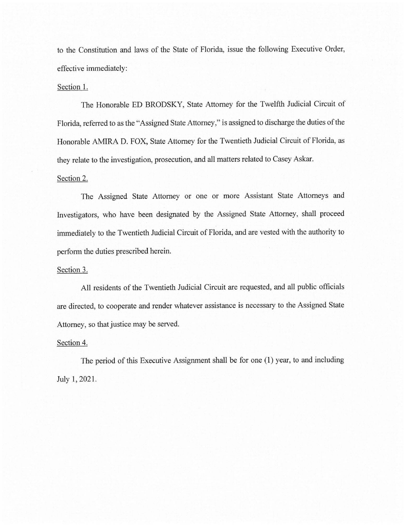to the Constitution and laws of the State of Florida, issue the following Executive Order, effective immediately:

#### Section 1.

The Honorable ED BRODSKY, State Attorney for the Twelfth Judicial Circuit of Florida, referred to as the "Assigned State Attorney," is assigned to discharge the duties of the Honorable AMIRA D. FOX, State Attorney for the Twentieth Judicial Circuit of Florida, as they relate to the investigation, prosecution, and all matters related to Casey Askar.

## Section 2.

The Assigned State Attorney or one or more Assistant State Attorneys and Investigators, who have been designated by the Assigned State Attorney, shall proceed immediately to the Twentieth Judicial Circuit of Florida, and are vested with the authority to perform the duties prescribed herein.

### Section 3.

All residents of the Twentieth Judicial Circuit are requested, and all public officials are directed, to cooperate and render whatever assistance is necessary to the Assigned State Attorney, so that justice may be served.

#### Section 4.

The period of this Executive Assignment shall be for one (1) year, to and including July 1, 2021.